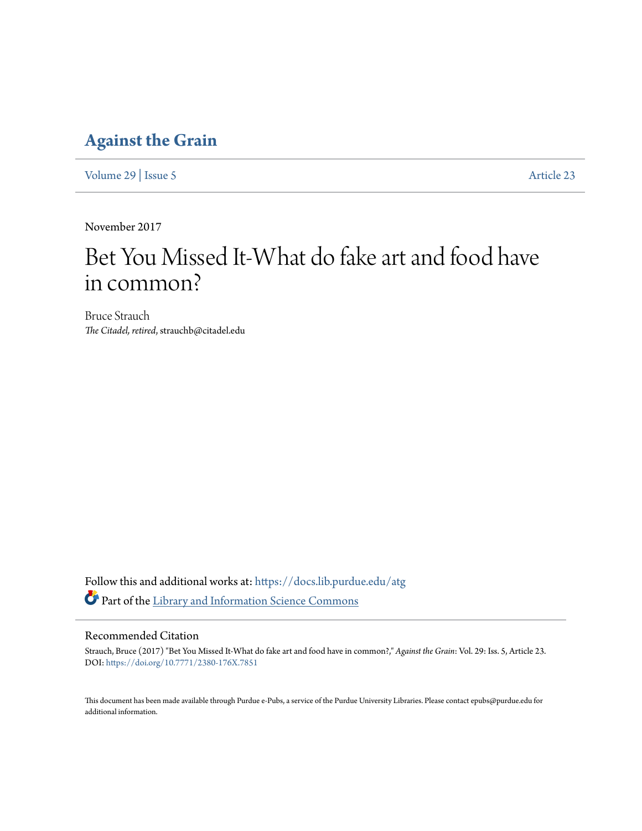### **[Against the Grain](https://docs.lib.purdue.edu/atg?utm_source=docs.lib.purdue.edu%2Fatg%2Fvol29%2Fiss5%2F23&utm_medium=PDF&utm_campaign=PDFCoverPages)**

[Volume 29](https://docs.lib.purdue.edu/atg/vol29?utm_source=docs.lib.purdue.edu%2Fatg%2Fvol29%2Fiss5%2F23&utm_medium=PDF&utm_campaign=PDFCoverPages) | [Issue 5](https://docs.lib.purdue.edu/atg/vol29/iss5?utm_source=docs.lib.purdue.edu%2Fatg%2Fvol29%2Fiss5%2F23&utm_medium=PDF&utm_campaign=PDFCoverPages) [Article 23](https://docs.lib.purdue.edu/atg/vol29/iss5/23?utm_source=docs.lib.purdue.edu%2Fatg%2Fvol29%2Fiss5%2F23&utm_medium=PDF&utm_campaign=PDFCoverPages)

November 2017

# Bet You Missed It-What do fake art and food have in common?

Bruce Strauch *The Citadel, retired*, strauchb@citadel.edu

Follow this and additional works at: [https://docs.lib.purdue.edu/atg](https://docs.lib.purdue.edu/atg?utm_source=docs.lib.purdue.edu%2Fatg%2Fvol29%2Fiss5%2F23&utm_medium=PDF&utm_campaign=PDFCoverPages) Part of the [Library and Information Science Commons](http://network.bepress.com/hgg/discipline/1018?utm_source=docs.lib.purdue.edu%2Fatg%2Fvol29%2Fiss5%2F23&utm_medium=PDF&utm_campaign=PDFCoverPages)

### Recommended Citation

Strauch, Bruce (2017) "Bet You Missed It-What do fake art and food have in common?," *Against the Grain*: Vol. 29: Iss. 5, Article 23. DOI: <https://doi.org/10.7771/2380-176X.7851>

This document has been made available through Purdue e-Pubs, a service of the Purdue University Libraries. Please contact epubs@purdue.edu for additional information.